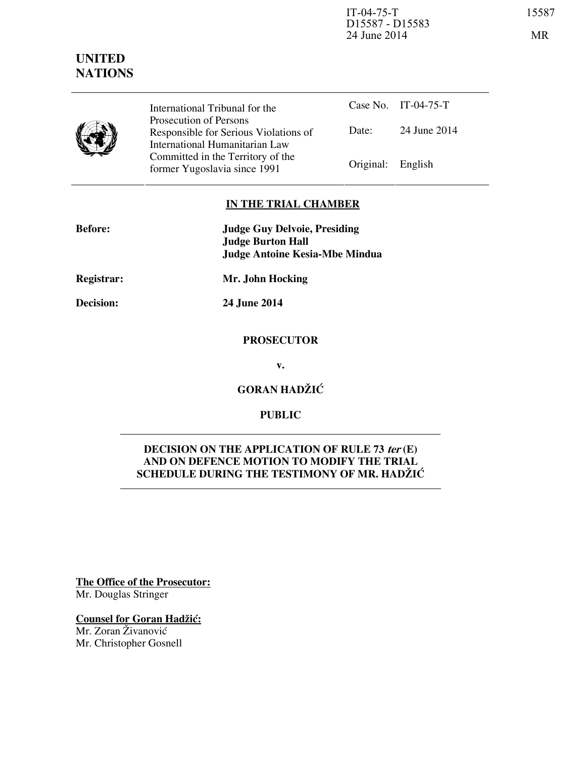IT-04-75-T 15587 D15587 - D15583 24 June 2014 MR



Case No. IT-04-75-T International Tribunal for the Prosecution of Persons Responsible for Serious Violations of International Humanitarian Law Committed in the Territory of the Former Yugoslavia since 1991 Original: English

# Date: 24 June 2014

### **IN THE TRIAL CHAMBER**

| <b>Before:</b> | <b>Judge Guy Delvoie, Presiding</b>   |
|----------------|---------------------------------------|
|                | <b>Judge Burton Hall</b>              |
|                | <b>Judge Antoine Kesia-Mbe Mindua</b> |
|                |                                       |

**Registrar: Mr. John Hocking** 

**Decision: 24 June 2014** 

#### **PROSECUTOR**

**v.** 

**GORAN HADŽIĆ** 

## **PUBLIC**

### **DECISION ON THE APPLICATION OF RULE 73 ter (E) AND ON DEFENCE MOTION TO MODIFY THE TRIAL SCHEDULE DURING THE TESTIMONY OF MR. HADŽIĆ**

**The Office of the Prosecutor:** Mr. Douglas Stringer

# **Counsel for Goran Hadžić:**

Mr. Zoran Živanović Mr. Christopher Gosnell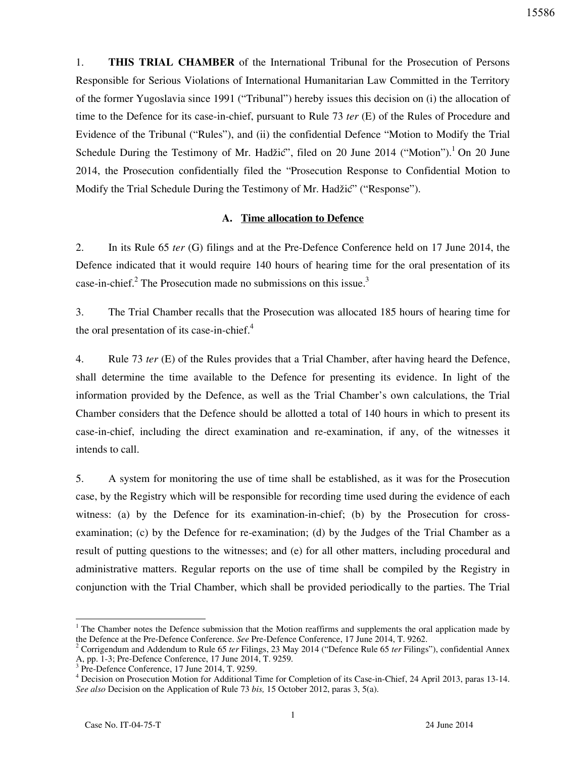1. **THIS TRIAL CHAMBER** of the International Tribunal for the Prosecution of Persons Responsible for Serious Violations of International Humanitarian Law Committed in the Territory of the former Yugoslavia since 1991 ("Tribunal") hereby issues this decision on (i) the allocation of time to the Defence for its case-in-chief, pursuant to Rule 73 *ter* (E) of the Rules of Procedure and Evidence of the Tribunal ("Rules"), and (ii) the confidential Defence "Motion to Modify the Trial Schedule During the Testimony of Mr. Hadžić", filed on 20 June 2014 ("Motion"). <sup>1</sup> On 20 June 2014, the Prosecution confidentially filed the "Prosecution Response to Confidential Motion to Modify the Trial Schedule During the Testimony of Mr. Hadžić" ("Response").

#### **A. Time allocation to Defence**

2. In its Rule 65 *ter* (G) filings and at the Pre-Defence Conference held on 17 June 2014, the Defence indicated that it would require 140 hours of hearing time for the oral presentation of its case-in-chief.<sup>2</sup> The Prosecution made no submissions on this issue.<sup>3</sup>

3. The Trial Chamber recalls that the Prosecution was allocated 185 hours of hearing time for the oral presentation of its case-in-chief. $4$ 

4. Rule 73 *ter* (E) of the Rules provides that a Trial Chamber, after having heard the Defence, shall determine the time available to the Defence for presenting its evidence. In light of the information provided by the Defence, as well as the Trial Chamber's own calculations, the Trial Chamber considers that the Defence should be allotted a total of 140 hours in which to present its case-in-chief, including the direct examination and re-examination, if any, of the witnesses it intends to call.

5. A system for monitoring the use of time shall be established, as it was for the Prosecution case, by the Registry which will be responsible for recording time used during the evidence of each witness: (a) by the Defence for its examination-in-chief; (b) by the Prosecution for crossexamination; (c) by the Defence for re-examination; (d) by the Judges of the Trial Chamber as a result of putting questions to the witnesses; and (e) for all other matters, including procedural and administrative matters. Regular reports on the use of time shall be compiled by the Registry in conjunction with the Trial Chamber, which shall be provided periodically to the parties. The Trial

 $\overline{a}$ 

 $1$  The Chamber notes the Defence submission that the Motion reaffirms and supplements the oral application made by the Defence at the Pre-Defence Conference. *See* Pre-Defence Conference, 17 June 2014, T. 9262.

<sup>2</sup> Corrigendum and Addendum to Rule 65 *ter* Filings, 23 May 2014 ("Defence Rule 65 *ter* Filings"), confidential Annex A, pp. 1-3; Pre-Defence Conference, 17 June 2014, T. 9259. 3 Pre-Defence Conference, 17 June 2014, T. 9259.

<sup>&</sup>lt;sup>4</sup> Decision on Prosecution Motion for Additional Time for Completion of its Case-in-Chief, 24 April 2013, paras 13-14. *See also* Decision on the Application of Rule 73 *bis,* 15 October 2012, paras 3, 5(a).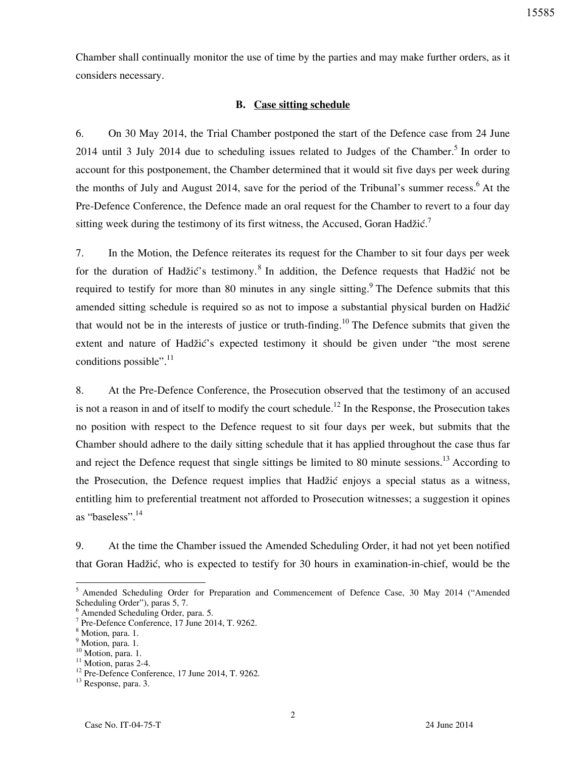Chamber shall continually monitor the use of time by the parties and may make further orders, as it considers necessary.

#### **B. Case sitting schedule**

6. On 30 May 2014, the Trial Chamber postponed the start of the Defence case from 24 June 2014 until 3 July 2014 due to scheduling issues related to Judges of the Chamber.<sup>5</sup> In order to account for this postponement, the Chamber determined that it would sit five days per week during the months of July and August 2014, save for the period of the Tribunal's summer recess.<sup>6</sup> At the Pre-Defence Conference, the Defence made an oral request for the Chamber to revert to a four day sitting week during the testimony of its first witness, the Accused, Goran Hadžić.<sup>7</sup>

7. In the Motion, the Defence reiterates its request for the Chamber to sit four days per week for the duration of Hadžić's testimony.<sup>8</sup> In addition, the Defence requests that Hadžić not be required to testify for more than 80 minutes in any single sitting.<sup>9</sup> The Defence submits that this amended sitting schedule is required so as not to impose a substantial physical burden on Hadžić that would not be in the interests of justice or truth-finding.<sup>10</sup> The Defence submits that given the extent and nature of Hadžić's expected testimony it should be given under "the most serene conditions possible". $11$ 

8. At the Pre-Defence Conference, the Prosecution observed that the testimony of an accused is not a reason in and of itself to modify the court schedule.<sup>12</sup> In the Response, the Prosecution takes no position with respect to the Defence request to sit four days per week, but submits that the Chamber should adhere to the daily sitting schedule that it has applied throughout the case thus far and reject the Defence request that single sittings be limited to 80 minute sessions.<sup>13</sup> According to the Prosecution, the Defence request implies that Hadžić enjoys a special status as a witness, entitling him to preferential treatment not afforded to Prosecution witnesses; a suggestion it opines as "baseless".<sup>14</sup>

9. At the time the Chamber issued the Amended Scheduling Order, it had not yet been notified that Goran Hadžić, who is expected to testify for 30 hours in examination-in-chief, would be the

 $\overline{a}$ 

<sup>&</sup>lt;sup>5</sup> Amended Scheduling Order for Preparation and Commencement of Defence Case, 30 May 2014 ("Amended Scheduling Order"), paras 5, 7.

<sup>6</sup> Amended Scheduling Order, para. 5.

<sup>7</sup> Pre-Defence Conference, 17 June 2014, T. 9262.

<sup>&</sup>lt;sup>8</sup> Motion, para. 1.

<sup>&</sup>lt;sup>9</sup> Motion, para. 1.

<sup>&</sup>lt;sup>10</sup> Motion, para. 1.

 $11$  Motion, paras 2-4.

 $12$  Pre-Defence Conference, 17 June 2014, T. 9262.

<sup>&</sup>lt;sup>13</sup> Response, para. 3.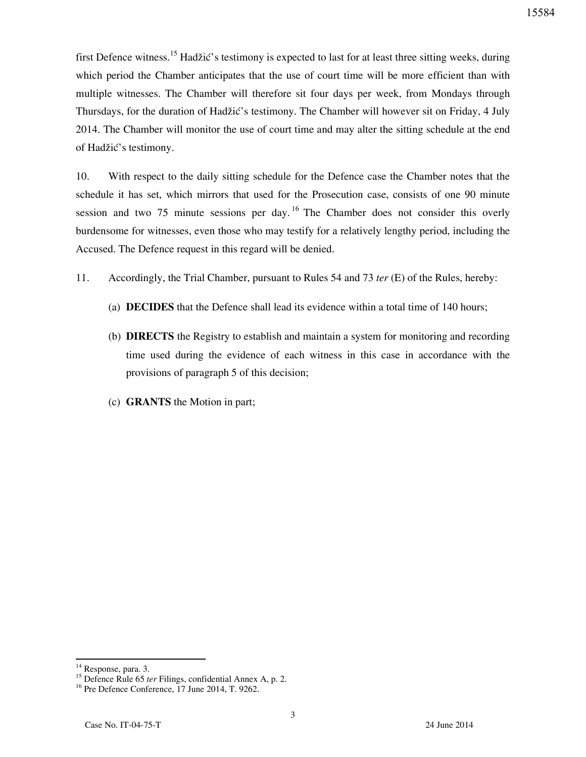first Defence witness.<sup>15</sup> Hadžić's testimony is expected to last for at least three sitting weeks, during which period the Chamber anticipates that the use of court time will be more efficient than with multiple witnesses. The Chamber will therefore sit four days per week, from Mondays through Thursdays, for the duration of Hadžić's testimony. The Chamber will however sit on Friday, 4 July 2014. The Chamber will monitor the use of court time and may alter the sitting schedule at the end of Hadžić's testimony.

10. With respect to the daily sitting schedule for the Defence case the Chamber notes that the schedule it has set, which mirrors that used for the Prosecution case, consists of one 90 minute session and two 75 minute sessions per day. <sup>16</sup> The Chamber does not consider this overly burdensome for witnesses, even those who may testify for a relatively lengthy period, including the Accused. The Defence request in this regard will be denied.

- 11. Accordingly, the Trial Chamber, pursuant to Rules 54 and 73 *ter* (E) of the Rules, hereby:
	- (a) **DECIDES** that the Defence shall lead its evidence within a total time of 140 hours;
	- (b) **DIRECTS** the Registry to establish and maintain a system for monitoring and recording time used during the evidence of each witness in this case in accordance with the provisions of paragraph 5 of this decision;
	- (c) **GRANTS** the Motion in part;

<sup>&</sup>lt;sup>14</sup> Response, para. 3.

<sup>&</sup>lt;sup>15</sup> Defence Rule 65 *ter* Filings, confidential Annex A, p. 2.

<sup>&</sup>lt;sup>16</sup> Pre Defence Conference, 17 June 2014, T. 9262.